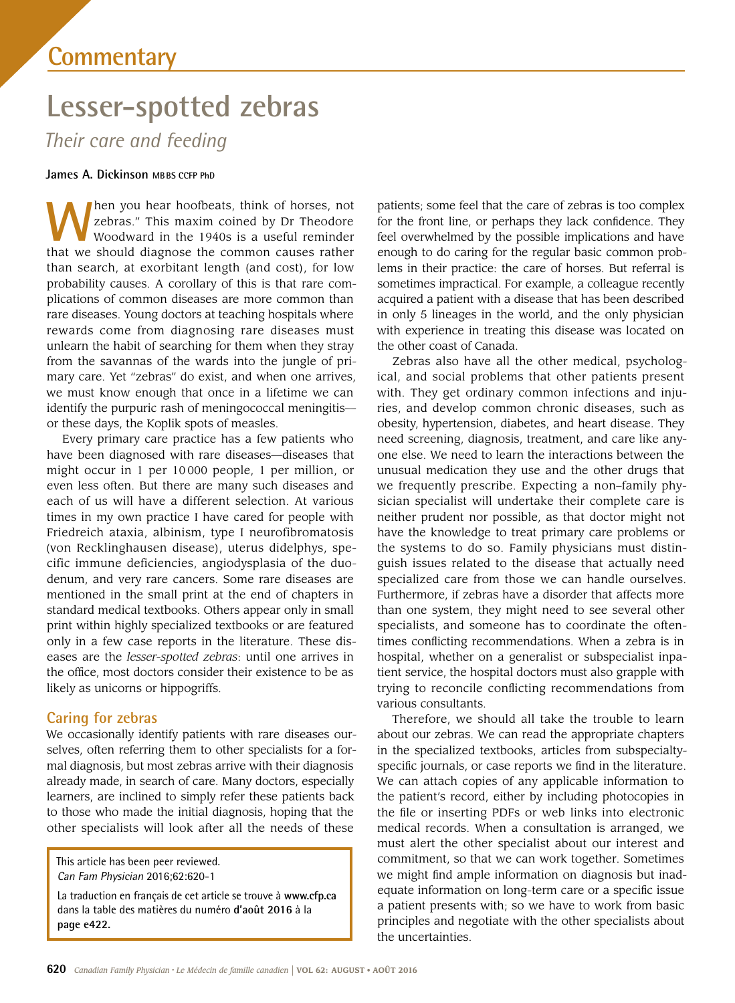# **Lesser-spotted zebras**

*Their care and feeding*

## **James A. Dickinson MBBS CCFP PhD**

**When you hear hoofbeats, think of horses, not** zebras." This maxim coined by Dr Theodore Woodward in the 1940s is a useful reminder zebras." This maxim coined by Dr Theodore Woodward in the 1940s is a useful reminder that we should diagnose the common causes rather than search, at exorbitant length (and cost), for low probability causes. A corollary of this is that rare complications of common diseases are more common than rare diseases. Young doctors at teaching hospitals where rewards come from diagnosing rare diseases must unlearn the habit of searching for them when they stray from the savannas of the wards into the jungle of primary care. Yet "zebras" do exist, and when one arrives, we must know enough that once in a lifetime we can identify the purpuric rash of meningococcal meningitis or these days, the Koplik spots of measles.

Every primary care practice has a few patients who have been diagnosed with rare diseases—diseases that might occur in 1 per 10 000 people, 1 per million, or even less often. But there are many such diseases and each of us will have a different selection. At various times in my own practice I have cared for people with Friedreich ataxia, albinism, type I neurofibromatosis (von Recklinghausen disease), uterus didelphys, specific immune deficiencies, angiodysplasia of the duodenum, and very rare cancers. Some rare diseases are mentioned in the small print at the end of chapters in standard medical textbooks. Others appear only in small print within highly specialized textbooks or are featured only in a few case reports in the literature. These diseases are the *lesser-spotted zebras*: until one arrives in the office, most doctors consider their existence to be as likely as unicorns or hippogriffs.

## **Caring for zebras**

We occasionally identify patients with rare diseases ourselves, often referring them to other specialists for a formal diagnosis, but most zebras arrive with their diagnosis already made, in search of care. Many doctors, especially learners, are inclined to simply refer these patients back to those who made the initial diagnosis, hoping that the other specialists will look after all the needs of these

This article has been peer reviewed. Can Fam Physician 2016;62:620-1

La traduction en français de cet article se trouve à **www.cfp.ca** dans la table des matières du numéro **d'août 2016** à la **page e422.**

patients; some feel that the care of zebras is too complex for the front line, or perhaps they lack confidence. They feel overwhelmed by the possible implications and have enough to do caring for the regular basic common problems in their practice: the care of horses. But referral is sometimes impractical. For example, a colleague recently acquired a patient with a disease that has been described in only 5 lineages in the world, and the only physician with experience in treating this disease was located on the other coast of Canada.

Zebras also have all the other medical, psychological, and social problems that other patients present with. They get ordinary common infections and injuries, and develop common chronic diseases, such as obesity, hypertension, diabetes, and heart disease. They need screening, diagnosis, treatment, and care like anyone else. We need to learn the interactions between the unusual medication they use and the other drugs that we frequently prescribe. Expecting a non–family physician specialist will undertake their complete care is neither prudent nor possible, as that doctor might not have the knowledge to treat primary care problems or the systems to do so. Family physicians must distinguish issues related to the disease that actually need specialized care from those we can handle ourselves. Furthermore, if zebras have a disorder that affects more than one system, they might need to see several other specialists, and someone has to coordinate the oftentimes conflicting recommendations. When a zebra is in hospital, whether on a generalist or subspecialist inpatient service, the hospital doctors must also grapple with trying to reconcile conflicting recommendations from various consultants.

Therefore, we should all take the trouble to learn about our zebras. We can read the appropriate chapters in the specialized textbooks, articles from subspecialtyspecific journals, or case reports we find in the literature. We can attach copies of any applicable information to the patient's record, either by including photocopies in the file or inserting PDFs or web links into electronic medical records. When a consultation is arranged, we must alert the other specialist about our interest and commitment, so that we can work together. Sometimes we might find ample information on diagnosis but inadequate information on long-term care or a specific issue a patient presents with; so we have to work from basic principles and negotiate with the other specialists about the uncertainties.